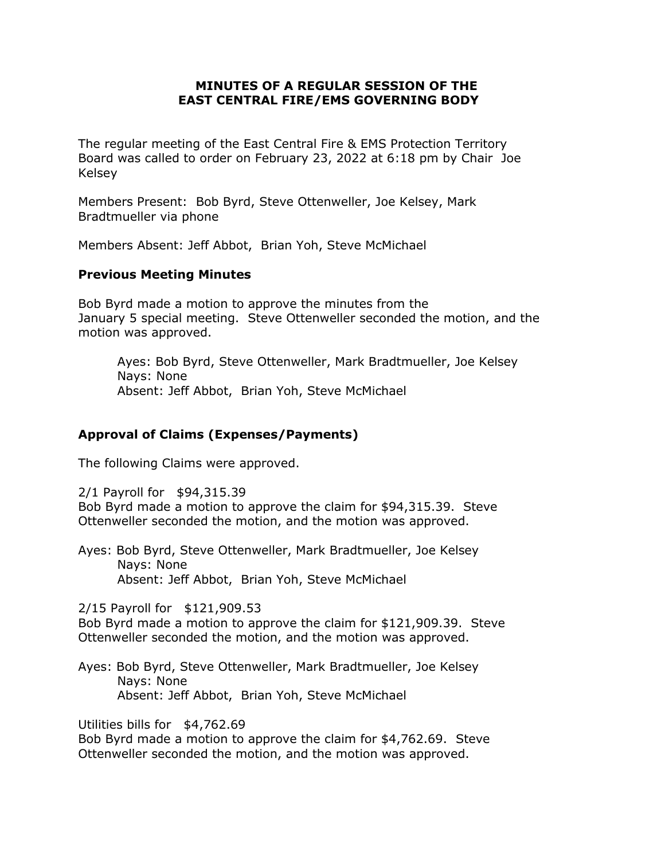#### **MINUTES OF A REGULAR SESSION OF THE EAST CENTRAL FIRE/EMS GOVERNING BODY**

The regular meeting of the East Central Fire & EMS Protection Territory Board was called to order on February 23, 2022 at 6:18 pm by Chair Joe Kelsey

Members Present: Bob Byrd, Steve Ottenweller, Joe Kelsey, Mark Bradtmueller via phone

Members Absent: Jeff Abbot, Brian Yoh, Steve McMichael

### **Previous Meeting Minutes**

Bob Byrd made a motion to approve the minutes from the January 5 special meeting. Steve Ottenweller seconded the motion, and the motion was approved.

Ayes: Bob Byrd, Steve Ottenweller, Mark Bradtmueller, Joe Kelsey Nays: None Absent: Jeff Abbot, Brian Yoh, Steve McMichael

## **Approval of Claims (Expenses/Payments)**

The following Claims were approved.

2/1 Payroll for \$94,315.39

Bob Byrd made a motion to approve the claim for \$94,315.39. Steve Ottenweller seconded the motion, and the motion was approved.

Ayes: Bob Byrd, Steve Ottenweller, Mark Bradtmueller, Joe Kelsey Nays: None Absent: Jeff Abbot, Brian Yoh, Steve McMichael

2/15 Payroll for \$121,909.53

Bob Byrd made a motion to approve the claim for \$121,909.39. Steve Ottenweller seconded the motion, and the motion was approved.

Ayes: Bob Byrd, Steve Ottenweller, Mark Bradtmueller, Joe Kelsey Nays: None Absent: Jeff Abbot, Brian Yoh, Steve McMichael

Utilities bills for \$4,762.69

Bob Byrd made a motion to approve the claim for \$4,762.69. Steve Ottenweller seconded the motion, and the motion was approved.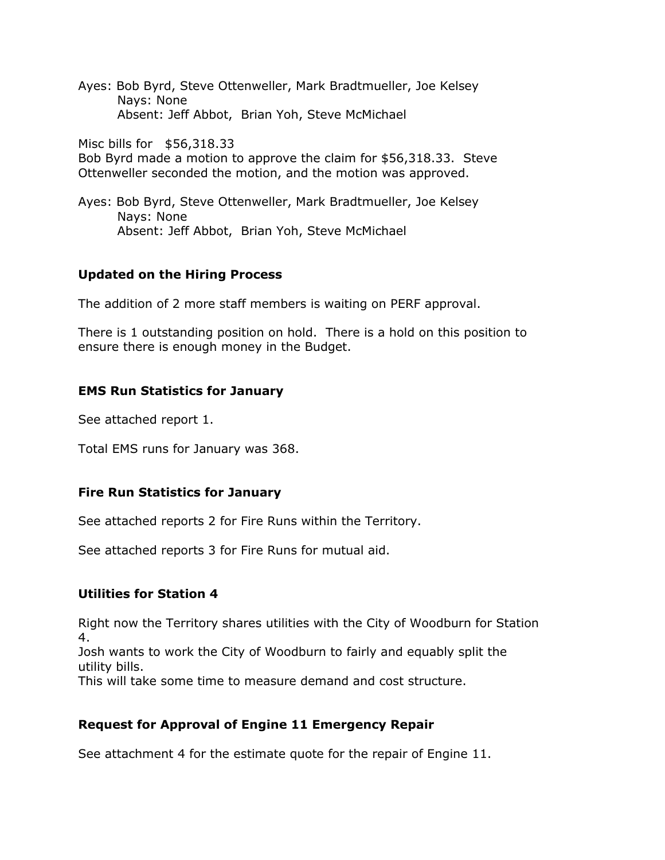Ayes: Bob Byrd, Steve Ottenweller, Mark Bradtmueller, Joe Kelsey Nays: None Absent: Jeff Abbot, Brian Yoh, Steve McMichael

Misc bills for \$56,318.33

Bob Byrd made a motion to approve the claim for \$56,318.33. Steve Ottenweller seconded the motion, and the motion was approved.

Ayes: Bob Byrd, Steve Ottenweller, Mark Bradtmueller, Joe Kelsey Nays: None Absent: Jeff Abbot, Brian Yoh, Steve McMichael

### **Updated on the Hiring Process**

The addition of 2 more staff members is waiting on PERF approval.

There is 1 outstanding position on hold. There is a hold on this position to ensure there is enough money in the Budget.

### **EMS Run Statistics for January**

See attached report 1.

Total EMS runs for January was 368.

## **Fire Run Statistics for January**

See attached reports 2 for Fire Runs within the Territory.

See attached reports 3 for Fire Runs for mutual aid.

#### **Utilities for Station 4**

Right now the Territory shares utilities with the City of Woodburn for Station 4.

Josh wants to work the City of Woodburn to fairly and equably split the utility bills.

This will take some time to measure demand and cost structure.

## **Request for Approval of Engine 11 Emergency Repair**

See attachment 4 for the estimate quote for the repair of Engine 11.